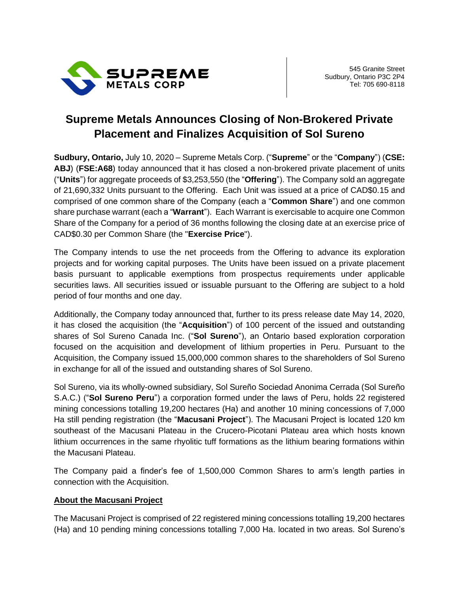

## **Supreme Metals Announces Closing of Non-Brokered Private Placement and Finalizes Acquisition of Sol Sureno**

**Sudbury, Ontario,** July 10, 2020 – Supreme Metals Corp. ("**Supreme**" or the "**Company**") (**CSE: ABJ**) (**FSE:A68**) today announced that it has closed a non-brokered private placement of units ("**Units**") for aggregate proceeds of \$3,253,550 (the "**Offering**"). The Company sold an aggregate of 21,690,332 Units pursuant to the Offering. Each Unit was issued at a price of CAD\$0.15 and comprised of one common share of the Company (each a "**Common Share**") and one common share purchase warrant (each a "**Warrant**"). Each Warrant is exercisable to acquire one Common Share of the Company for a period of 36 months following the closing date at an exercise price of CAD\$0.30 per Common Share (the "**Exercise Price**").

The Company intends to use the net proceeds from the Offering to advance its exploration projects and for working capital purposes. The Units have been issued on a private placement basis pursuant to applicable exemptions from prospectus requirements under applicable securities laws. All securities issued or issuable pursuant to the Offering are subject to a hold period of four months and one day.

Additionally, the Company today announced that, further to its press release date May 14, 2020, it has closed the acquisition (the "**Acquisition**") of 100 percent of the issued and outstanding shares of Sol Sureno Canada Inc. ("**Sol Sureno**"), an Ontario based exploration corporation focused on the acquisition and development of lithium properties in Peru. Pursuant to the Acquisition, the Company issued 15,000,000 common shares to the shareholders of Sol Sureno in exchange for all of the issued and outstanding shares of Sol Sureno.

Sol Sureno, via its wholly-owned subsidiary, Sol Sureño Sociedad Anonima Cerrada (Sol Sureño S.A.C.) ("**Sol Sureno Peru**") a corporation formed under the laws of Peru, holds 22 registered mining concessions totalling 19,200 hectares (Ha) and another 10 mining concessions of 7,000 Ha still pending registration (the "**Macusani Project**"). The Macusani Project is located 120 km southeast of the Macusani Plateau in the Crucero-Picotani Plateau area which hosts known lithium occurrences in the same rhyolitic tuff formations as the lithium bearing formations within the Macusani Plateau.

The Company paid a finder's fee of 1,500,000 Common Shares to arm's length parties in connection with the Acquisition.

## **About the Macusani Project**

The Macusani Project is comprised of 22 registered mining concessions totalling 19,200 hectares (Ha) and 10 pending mining concessions totalling 7,000 Ha. located in two areas. Sol Sureno's